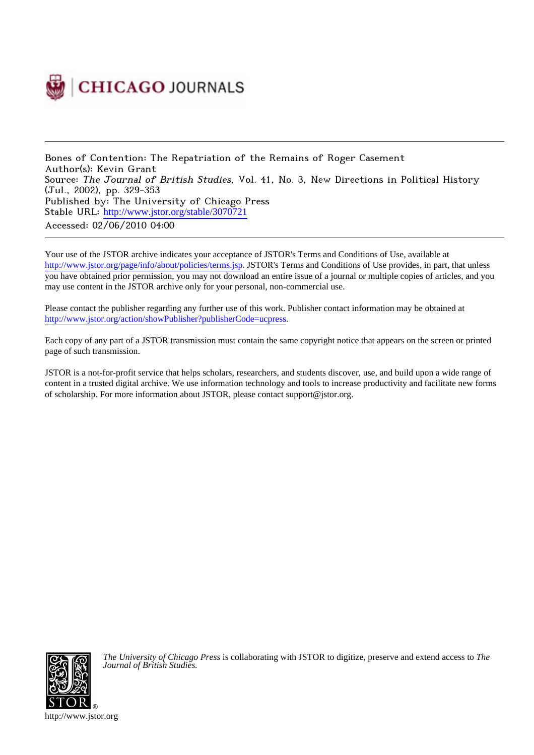

Bones of Contention: The Repatriation of the Remains of Roger Casement Author(s): Kevin Grant Source: The Journal of British Studies, Vol. 41, No. 3, New Directions in Political History (Jul., 2002), pp. 329-353 Published by: The University of Chicago Press Stable URL: [http://www.jstor.org/stable/3070721](http://www.jstor.org/stable/3070721?origin=JSTOR-pdf) Accessed: 02/06/2010 04:00

Your use of the JSTOR archive indicates your acceptance of JSTOR's Terms and Conditions of Use, available at <http://www.jstor.org/page/info/about/policies/terms.jsp>. JSTOR's Terms and Conditions of Use provides, in part, that unless you have obtained prior permission, you may not download an entire issue of a journal or multiple copies of articles, and you may use content in the JSTOR archive only for your personal, non-commercial use.

Please contact the publisher regarding any further use of this work. Publisher contact information may be obtained at [http://www.jstor.org/action/showPublisher?publisherCode=ucpress.](http://www.jstor.org/action/showPublisher?publisherCode=ucpress)

Each copy of any part of a JSTOR transmission must contain the same copyright notice that appears on the screen or printed page of such transmission.

JSTOR is a not-for-profit service that helps scholars, researchers, and students discover, use, and build upon a wide range of content in a trusted digital archive. We use information technology and tools to increase productivity and facilitate new forms of scholarship. For more information about JSTOR, please contact support@jstor.org.



*The University of Chicago Press* is collaborating with JSTOR to digitize, preserve and extend access to *The Journal of British Studies.*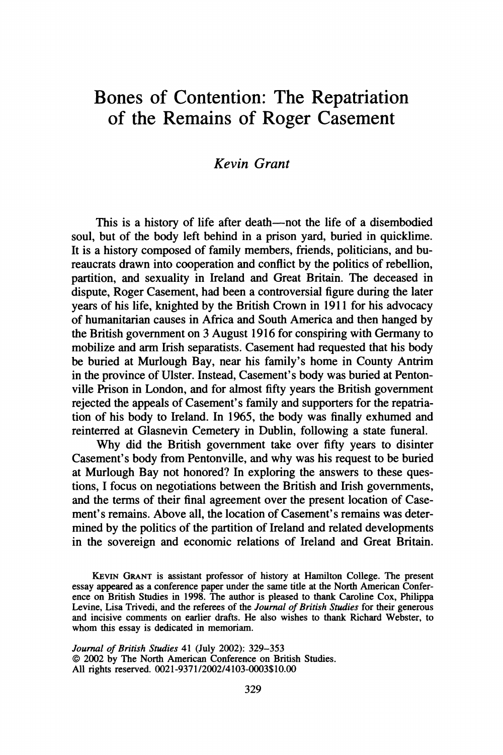# **Bones of Contention: The Repatriation of the Remains of Roger Casement**

# **Kevin Grant**

This is a history of life after death—not the life of a disembodied **soul, but of the body left behind in a prison yard, buried in quicklime. It is a history composed of family members, friends, politicians, and bureaucrats drawn into cooperation and conflict by the politics of rebellion, partition, and sexuality in Ireland and Great Britain. The deceased in dispute, Roger Casement, had been a controversial figure during the later years of his life, knighted by the British Crown in 1911 for his advocacy of humanitarian causes in Africa and South America and then hanged by the British government on 3 August 1916 for conspiring with Germany to mobilize and arm Irish separatists. Casement had requested that his body be buried at Murlough Bay, near his family's home in County Antrim in the province of Ulster. Instead, Casement's body was buried at Pentonville Prison in London, and for almost fifty years the British government rejected the appeals of Casement's family and supporters for the repatriation of his body to Ireland. In 1965, the body was finally exhumed and reinterred at Glasnevin Cemetery in Dublin, following a state funeral.** 

**Why did the British government take over fifty years to disinter Casement's body from Pentonville, and why was his request to be buried at Murlough Bay not honored? In exploring the answers to these questions, I focus on negotiations between the British and Irish governments, and the terms of their final agreement over the present location of Casement's remains. Above all, the location of Casement's remains was determined by the politics of the partition of Ireland and related developments in the sovereign and economic relations of Ireland and Great Britain.** 

**KEVIN GRANT is assistant professor of history at Hamilton College. The present essay appeared as a conference paper under the same title at the North American Conference on British Studies in 1998. The author is pleased to thank Caroline Cox, Philippa Levine, Lisa Trivedi, and the referees of the Journal of British Studies for their generous and incisive comments on earlier drafts. He also wishes to thank Richard Webster, to whom this essay is dedicated in memoriam.** 

**Journal of British Studies 41 (July 2002): 329-353 ? 2002 by The North American Conference on British Studies. All rights reserved. 0021-9371/2002/4103-0003\$10.00**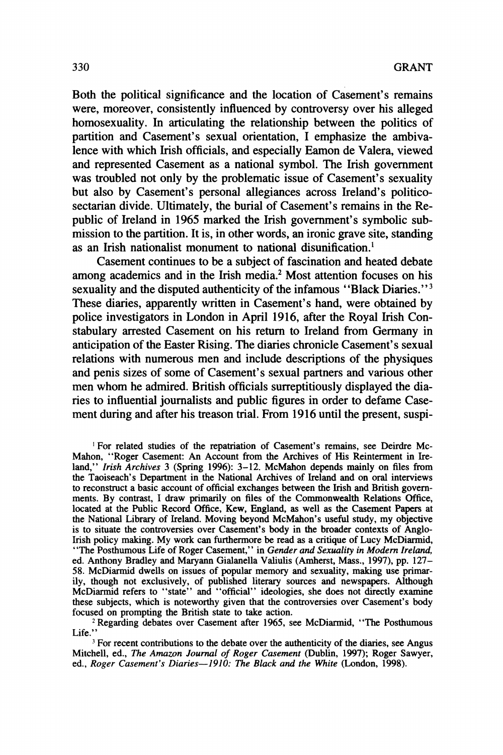**Both the political significance and the location of Casement's remains were, moreover, consistently influenced by controversy over his alleged homosexuality. In articulating the relationship between the politics of partition and Casement's sexual orientation, I emphasize the ambivalence with which Irish officials, and especially Eamon de Valera, viewed and represented Casement as a national symbol. The Irish government was troubled not only by the problematic issue of Casement's sexuality but also by Casement's personal allegiances across Ireland's politicosectarian divide. Ultimately, the burial of Casement's remains in the Republic of Ireland in 1965 marked the Irish government's symbolic submission to the partition. It is, in other words, an ironic grave site, standing as an Irish nationalist monument to national disunification.1** 

**Casement continues to be a subject of fascination and heated debate among academics and in the Irish media.2 Most attention focuses on his sexuality and the disputed authenticity of the infamous "Black Diaries."3 These diaries, apparently written in Casement's hand, were obtained by police investigators in London in April 1916, after the Royal Irish Constabulary arrested Casement on his return to Ireland from Germany in anticipation of the Easter Rising. The diaries chronicle Casement's sexual relations with numerous men and include descriptions of the physiques and penis sizes of some of Casement's sexual partners and various other men whom he admired. British officials surreptitiously displayed the diaries to influential journalists and public figures in order to defame Casement during and after his treason trial. From 1916 until the present, suspi-**

<sup>1</sup> For related studies of the repatriation of Casement's remains, see Deirdre Mc-**Mahon, "Roger Casement: An Account from the Archives of His Reinterment in Ireland," Irish Archives 3 (Spring 1996): 3-12. McMahon depends mainly on files from the Taoiseach's Department in the National Archives of Ireland and on oral interviews to reconstruct a basic account of official exchanges between the Irish and British governments. By contrast, I draw primarily on files of the Commonwealth Relations Office, located at the Public Record Office, Kew, England, as well as the Casement Papers at the National Library of Ireland. Moving beyond McMahon's useful study, my objective is to situate the controversies over Casement's body in the broader contexts of Anglo-Irish policy making. My work can furthermore be read as a critique of Lucy McDiarmid, "The Posthumous Life of Roger Casement," in Gender and Sexuality in Modem Ireland, ed. Anthony Bradley and Maryann Gialanella Valiulis (Amherst, Mass., 1997), pp. 127- 58. McDiarmid dwells on issues of popular memory and sexuality, making use primarily, though not exclusively, of published literary sources and newspapers. Although McDiarmid refers to "state" and "official" ideologies, she does not directly examine these subjects, which is noteworthy given that the controversies over Casement's body focused on prompting the British state to take action.** 

**2 Regarding debates over Casement after 1965, see McDiarmid, "The Posthumous**  Life."

**3 For recent contributions to the debate over the authenticity of the diaries, see Angus Mitchell, ed., The Amazon Journal of Roger Casement (Dublin, 1997); Roger Sawyer, ed., Roger Casement's Diaries-1910: The Black and the White (London, 1998).**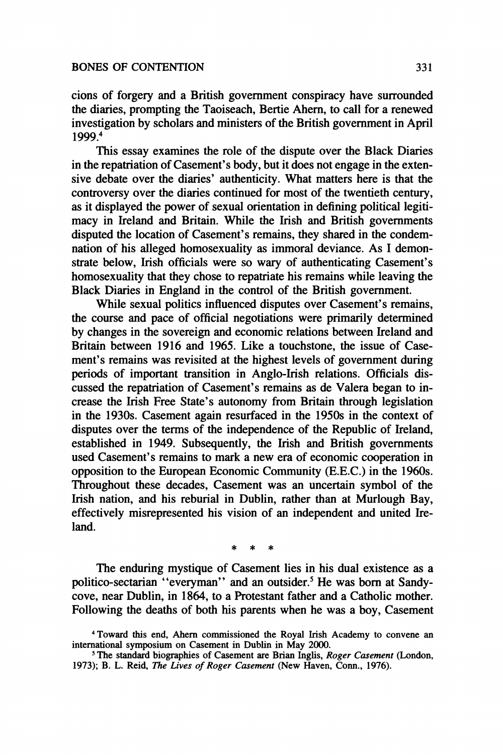**cions of forgery and a British government conspiracy have surrounded the diaries, prompting the Taoiseach, Bertie Ahern, to call for a renewed investigation by scholars and ministers of the British government in April 1999.4** 

**This essay examines the role of the dispute over the Black Diaries in the repatriation of Casement's body, but it does not engage in the extensive debate over the diaries' authenticity. What matters here is that the controversy over the diaries continued for most of the twentieth century, as it displayed the power of sexual orientation in defining political legitimacy in Ireland and Britain. While the Irish and British governments disputed the location of Casement's remains, they shared in the condemnation of his alleged homosexuality as immoral deviance. As I demonstrate below, Irish officials were so wary of authenticating Casement's homosexuality that they chose to repatriate his remains while leaving the Black Diaries in England in the control of the British government.** 

**While sexual politics influenced disputes over Casement's remains, the course and pace of official negotiations were primarily determined by changes in the sovereign and economic relations between Ireland and Britain between 1916 and 1965. Like a touchstone, the issue of Casement's remains was revisited at the highest levels of government during periods of important transition in Anglo-Irish relations. Officials discussed the repatriation of Casement's remains as de Valera began to increase the Irish Free State's autonomy from Britain through legislation in the 1930s. Casement again resurfaced in the 1950s in the context of disputes over the terms of the independence of the Republic of Ireland, established in 1949. Subsequently, the Irish and British governments used Casement's remains to mark a new era of economic cooperation in opposition to the European Economic Community (E.E.C.) in the 1960s. Throughout these decades, Casement was an uncertain symbol of the Irish nation, and his reburial in Dublin, rather than at Murlough Bay, effectively misrepresented his vision of an independent and united Ireland.** 

**\* \* \*** 

**The enduring mystique of Casement lies in his dual existence as a politico-sectarian "everyman" and an outsider.5 He was born at Sandycove, near Dublin, in 1864, to a Protestant father and a Catholic mother. Following the deaths of both his parents when he was a boy, Casement** 

<sup>&</sup>lt;sup>4</sup> Toward this end, Ahern commissioned the Royal Irish Academy to convene an **international symposium on Casement in Dublin in May 2000.** 

<sup>&</sup>lt;sup>5</sup> The standard biographies of Casement are Brian Inglis, Roger Casement (London, **1973); B. L. Reid, The Lives of Roger Casement (New Haven, Conn., 1976).**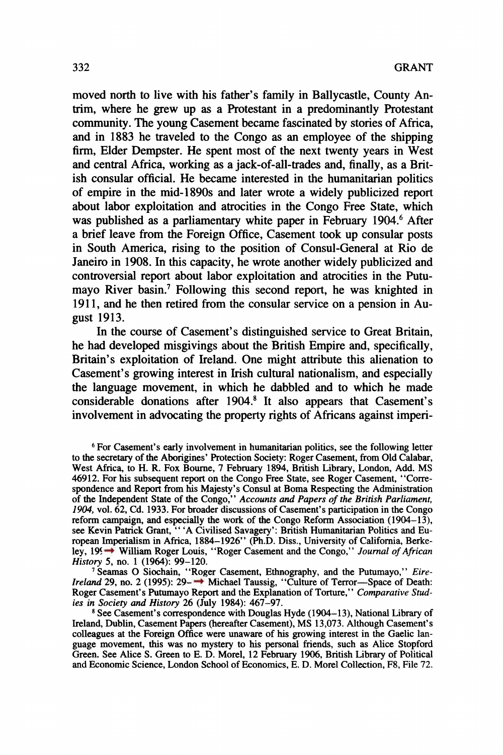**moved north to live with his father's family in Ballycastle, County Antrim, where he grew up as a Protestant in a predominantly Protestant community. The young Casement became fascinated by stories of Africa, and in 1883 he traveled to the Congo as an employee of the shipping firm, Elder Dempster. He spent most of the next twenty years in West and central Africa, working as a jack-of-all-trades and, finally, as a British consular official. He became interested in the humanitarian politics of empire in the mid-1890s and later wrote a widely publicized report about labor exploitation and atrocities in the Congo Free State, which was published as a parliamentary white paper in February 1904.6 After a brief leave from the Foreign Office, Casement took up consular posts in South America, rising to the position of Consul-General at Rio de Janeiro in 1908. In this capacity, he wrote another widely publicized and controversial report about labor exploitation and atrocities in the Putumayo River basin.7 Following this second report, he was knighted in 1911, and he then retired from the consular service on a pension in August 1913.** 

**In the course of Casement's distinguished service to Great Britain, he had developed misgivings about the British Empire and, specifically, Britain's exploitation of Ireland. One might attribute this alienation to Casement's growing interest in Irish cultural nationalism, and especially the language movement, in which he dabbled and to which he made considerable donations after 1904.8 It also appears that Casement's involvement in advocating the property rights of Africans against imperi-**

**7 Seamas O Siochain, "Roger Casement, Ethnography, and the Putumayo," Eire-**Ireland 29, no. 2 (1995): 29-→ Michael Taussig, "Culture of Terror-Space of Death: **Roger Casement's Putumayo Report and the Explanation of Torture," Comparative Studies in Society and History 26 (July 1984): 467-97.** 

**<sup>6</sup>For Casement's early involvement in humanitarian politics, see the following letter to the secretary of the Aborigines' Protection Society: Roger Casement, from Old Calabar, West Africa, to H. R. Fox Bourne, 7 February 1894, British Library, London, Add. MS 46912. For his subsequent report on the Congo Free State, see Roger Casement, "Correspondence and Report from his Majesty's Consul at Boma Respecting the Administration of the Independent State of the Congo," Accounts and Papers of the British Parliament, 1904, vol. 62, Cd. 1933. For broader discussions of Casement's participation in the Congo reform campaign, and especially the work of the Congo Reform Association (1904-13),**  see Kevin Patrick Grant, "'A Civilised Savagery': British Humanitarian Politics and Eu**ropean Imperialism in Africa, 1884-1926" (Ph.D. Diss., University of California, Berke**ley, 199<del>4</del> William Roger Louis, "Roger Casement and the Congo," Journal of African **History 5, no. 1 (1964): 99-120.** 

**<sup>8</sup>See Casement's correspondence with Douglas Hyde (1904-13), National Library of Ireland, Dublin, Casement Papers (hereafter Casement), MS 13,073. Although Casement's colleagues at the Foreign Office were unaware of his growing interest in the Gaelic language movement, this was no mystery to his personal friends, such as Alice Stopford Green. See Alice S. Green to E. D. Morel, 12 February 1906, British Library of Political and Economic Science, London School of Economics, E. D. Morel Collection, F8, File 72.**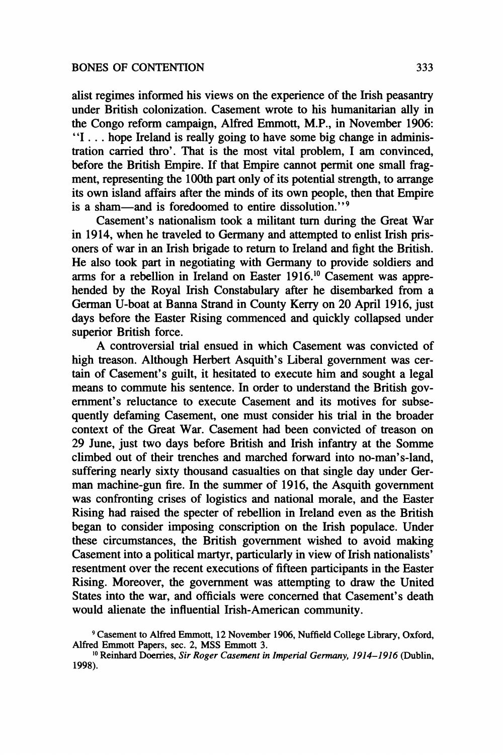**alist regimes informed his views on the experience of the Irish peasantry under British colonization. Casement wrote to his humanitarian ally in the Congo reform campaign, Alfred Emmott, M.P., in November 1906: "I ... hope Ireland is really going to have some big change in administration carried thro'. That is the most vital problem, I am convinced, before the British Empire. If that Empire cannot permit one small fragment, representing the 100th part only of its potential strength, to arrange its own island affairs after the minds of its own people, then that Empire is a sham-and is foredoomed to entire dissolution."9** 

**Casement's nationalism took a militant turn during the Great War in 1914, when he traveled to Germany and attempted to enlist Irish prisoners of war in an Irish brigade to return to Ireland and fight the British. He also took part in negotiating with Germany to provide soldiers and arms for a rebellion in Ireland on Easter 1916.10 Casement was apprehended by the Royal Irish Constabulary after he disembarked from a German U-boat at Banna Strand in County Kerry on 20 April 1916, just days before the Easter Rising commenced and quickly collapsed under superior British force.** 

**A controversial trial ensued in which Casement was convicted of high treason. Although Herbert Asquith's Liberal government was certain of Casement's guilt, it hesitated to execute him and sought a legal means to commute his sentence. In order to understand the British government's reluctance to execute Casement and its motives for subsequently defaming Casement, one must consider his trial in the broader context of the Great War. Casement had been convicted of treason on 29 June, just two days before British and Irish infantry at the Somme climbed out of their trenches and marched forward into no-man's-land, suffering nearly sixty thousand casualties on that single day under German machine-gun fire. In the summer of 1916, the Asquith government was confronting crises of logistics and national morale, and the Easter Rising had raised the specter of rebellion in Ireland even as the British began to consider imposing conscription on the Irish populace. Under these circumstances, the British government wished to avoid making Casement into a political martyr, particularly in view of Irish nationalists' resentment over the recent executions of fifteen participants in the Easter Rising. Moreover, the government was attempting to draw the United States into the war, and officials were concerned that Casement's death would alienate the influential Irish-American community.** 

**<sup>9</sup> Casement to Alfred Emmott, 12 November 1906, Nuffield College Library, Oxford,** 

<sup>&</sup>lt;sup>10</sup> Reinhard Doerries, Sir Roger Casement in Imperial Germany, 1914-1916 (Dublin, **1998).**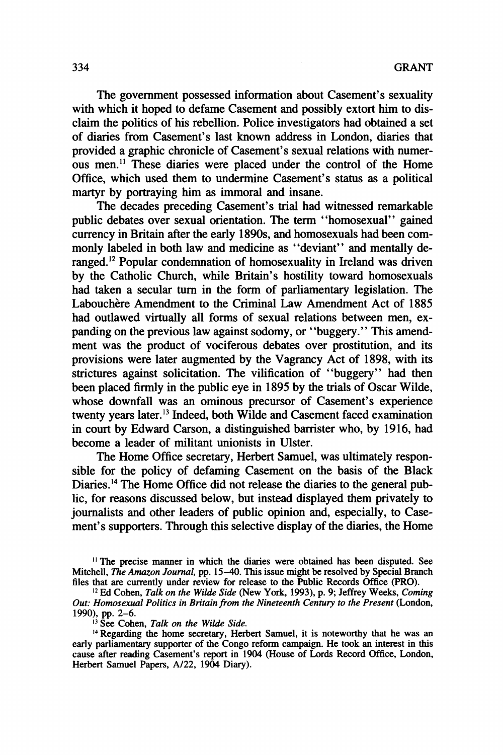**The government possessed information about Casement's sexuality with which it hoped to defame Casement and possibly extort him to disclaim the politics of his rebellion. Police investigators had obtained a set of diaries from Casement's last known address in London, diaries that provided a graphic chronicle of Casement's sexual relations with numerous men." These diaries were placed under the control of the Home Office, which used them to undermine Casement's status as a political martyr by portraying him as immoral and insane.** 

**The decades preceding Casement's trial had witnessed remarkable public debates over sexual orientation. The term "homosexual" gained currency in Britain after the early 1890s, and homosexuals had been commonly labeled in both law and medicine as "deviant" and mentally deranged.12 Popular condemnation of homosexuality in Ireland was driven by the Catholic Church, while Britain's hostility toward homosexuals had taken a secular turn in the form of parliamentary legislation. The**  Labouchère Amendment to the Criminal Law Amendment Act of 1885 **had outlawed virtually all forms of sexual relations between men, expanding on the previous law against sodomy, or "buggery." This amendment was the product of vociferous debates over prostitution, and its provisions were later augmented by the Vagrancy Act of 1898, with its strictures against solicitation. The vilification of "buggery" had then been placed firmly in the public eye in 1895 by the trials of Oscar Wilde, whose downfall was an ominous precursor of Casement's experience twenty years later.'3 Indeed, both Wilde and Casement faced examination in court by Edward Carson, a distinguished barrister who, by 1916, had become a leader of militant unionists in Ulster.** 

**The Home Office secretary, Herbert Samuel, was ultimately responsible for the policy of defaming Casement on the basis of the Black Diaries.'4 The Home Office did not release the diaries to the general public, for reasons discussed below, but instead displayed them privately to journalists and other leaders of public opinion and, especially, to Casement's supporters. Through this selective display of the diaries, the Home** 

<sup>&</sup>lt;sup>11</sup> The precise manner in which the diaries were obtained has been disputed. See **Mitchell, The Amazon Journal, pp. 15-40. This issue might be resolved by Special Branch files that are currently under review for release to the Public Records Office (PRO).** 

**<sup>12</sup> Ed Cohen, Talk on the Wilde Side (New York, 1993), p. 9; Jeffrey Weeks, Coming Out: Homosexual Politics in Britain from the Nineteenth Century to the Present (London, 1990), pp. 2-6.** 

**<sup>13</sup> See Cohen, Talk on the Wilde Side.** 

**<sup>14</sup> Regarding the home secretary, Herbert Samuel, it is noteworthy that he was an early parliamentary supporter of the Congo reform campaign. He took an interest in this cause after reading Casement's report in 1904 (House of Lords Record Office, London, Herbert Samuel Papers, A/22, 1904 Diary).**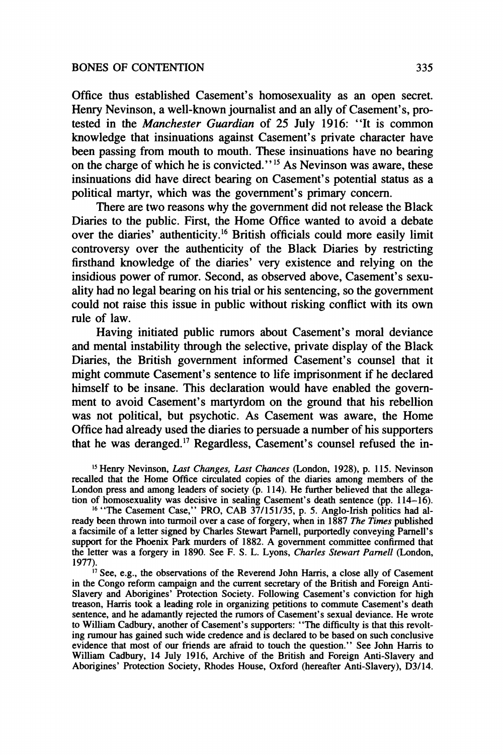## **BONES OF CONTENTION**

**Office thus established Casement's homosexuality as an open secret. Henry Nevinson, a well-known journalist and an ally of Casement's, protested in the Manchester Guardian of 25 July 1916: "It is common knowledge that insinuations against Casement's private character have been passing from mouth to mouth. These insinuations have no bearing on the charge of which he is convicted."15 As Nevinson was aware, these insinuations did have direct bearing on Casement's potential status as a political martyr, which was the government's primary concern.** 

**There are two reasons why the government did not release the Black Diaries to the public. First, the Home Office wanted to avoid a debate over the diaries' authenticity.16 British officials could more easily limit controversy over the authenticity of the Black Diaries by restricting firsthand knowledge of the diaries' very existence and relying on the insidious power of rumor. Second, as observed above, Casement's sexuality had no legal bearing on his trial or his sentencing, so the government could not raise this issue in public without risking conflict with its own rule of law.** 

**Having initiated public rumors about Casement's moral deviance and mental instability through the selective, private display of the Black Diaries, the British government informed Casement's counsel that it might commute Casement's sentence to life imprisonment if he declared himself to be insane. This declaration would have enabled the government to avoid Casement's martyrdom on the ground that his rebellion was not political, but psychotic. As Casement was aware, the Home Office had already used the diaries to persuade a number of his supporters that he was deranged.'7 Regardless, Casement's counsel refused the in-** 

**'5 Henry Nevinson, Last Changes, Last Chances (London, 1928), p. 115. Nevinson recalled that the Home Office circulated copies of the diaries among members of the London press and among leaders of society (p. 114). He further believed that the allegation of homosexuality was decisive in sealing Casement's death sentence (pp. 114-16).** 

<sup>16</sup> "The Casement Case," PRO, CAB 37/151/35, p. 5. Anglo-Irish politics had al**ready been thrown into turmoil over a case of forgery, when in 1887 The Times published a facsimile of a letter signed by Charles Stewart Parnell, purportedly conveying Parnell's support for the Phoenix Park murders of 1882. A government committee confirmed that the letter was a forgery in 1890. See F. S. L. Lyons, Charles Stewart Parell (London,** 

**1977). <sup>17</sup>See, e.g., the observations of the Reverend John Harris, a close ally of Casement in the Congo reform campaign and the current secretary of the British and Foreign Anti-Slavery and Aborigines' Protection Society. Following Casement's conviction for high treason, Harris took a leading role in organizing petitions to commute Casement's death sentence, and he adamantly rejected the rumors of Casement's sexual deviance. He wrote to William Cadbury, another of Casement's supporters: "The difficulty is that this revolting rumour has gained such wide credence and is declared to be based on such conclusive evidence that most of our friends are afraid to touch the question." See John Harris to William Cadbury, 14 July 1916, Archive of the British and Foreign Anti-Slavery and Aborigines' Protection Society, Rhodes House, Oxford (hereafter Anti-Slavery), D3/14.**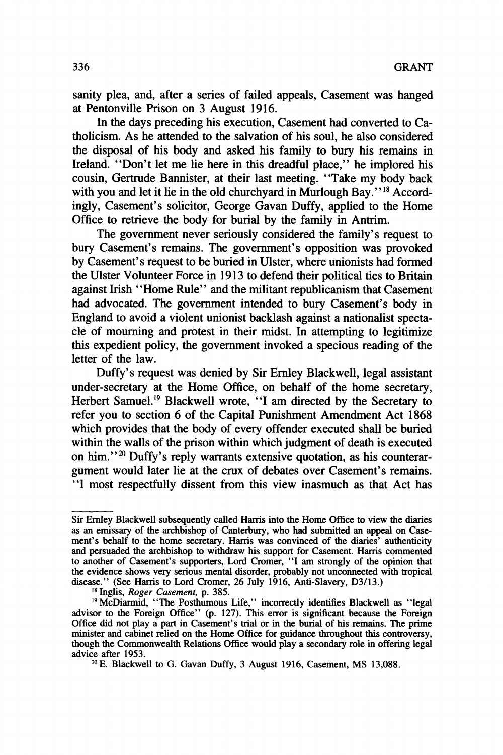**sanity plea, and, after a series of failed appeals, Casement was hanged at Pentonville Prison on 3 August 1916.** 

**In the days preceding his execution, Casement had converted to Catholicism. As he attended to the salvation of his soul, he also considered the disposal of his body and asked his family to bury his remains in Ireland. "Don't let me lie here in this dreadful place," he implored his cousin, Gertrude Bannister, at their last meeting. "Take my body back**  with you and let it lie in the old churchyard in Murlough Bay."<sup>18</sup> Accord**ingly, Casement's solicitor, George Gavan Duffy, applied to the Home Office to retrieve the body for burial by the family in Antrim.** 

**The government never seriously considered the family's request to bury Casement's remains. The government's opposition was provoked by Casement's request to be buried in Ulster, where unionists had formed the Ulster Volunteer Force in 1913 to defend their political ties to Britain against Irish "Home Rule" and the militant republicanism that Casement had advocated. The government intended to bury Casement's body in England to avoid a violent unionist backlash against a nationalist spectacle of mourning and protest in their midst. In attempting to legitimize this expedient policy, the government invoked a specious reading of the letter of the law.** 

Duffy's request was denied by Sir Ernley Blackwell, legal assistant **under-secretary at the Home Office, on behalf of the home secretary,**  Herbert Samuel.<sup>19</sup> Blackwell wrote, "I am directed by the Secretary to **refer you to section 6 of the Capital Punishment Amendment Act 1868 which provides that the body of every offender executed shall be buried within the walls of the prison within which judgment of death is executed on him."20 Duffy's reply warrants extensive quotation, as his counterargument would later lie at the crux of debates over Casement's remains. "I most respectfully dissent from this view inasmuch as that Act has** 

**Sir Emley Blackwell subsequently called Harris into the Home Office to view the diaries as an emissary of the archbishop of Canterbury, who had submitted an appeal on Casement's behalf to the home secretary. Harris was convinced of the diaries' authenticity and persuaded the archbishop to withdraw his support for Casement. Harris commented to another of Casement's supporters, Lord Cromer, "I am strongly of the opinion that**  the evidence shows very serious mental disorder, probably not unconnected with tropical disease." (See Harris to Lord Cromer, 26 July 1916, Anti-Slavery, D3/13.) disease." (See Harris to Lord Cromer, 26 July 1916, Anti-Slavery, D3/13.) <sup>18</sup> Inglis, *Roger Casement*, p. 385.

<sup>&</sup>lt;sup>9</sup> McDiarmid, "The Posthumous Life," incorrectly identifies Blackwell as "legal **advisor to the Foreign Office" (p. 127). This error is significant because the Foreign Office did not play a part in Casement's trial or in the burial of his remains. The prime minister and cabinet relied on the Home Office for guidance throughout this controversy, though the Commonwealth Relations Office would play a secondary role in offering legal advice after 1953.** 

**<sup>20</sup>E. Blackwell to G. Gavan Duffy, 3 August 1916, Casement, MS 13,088.**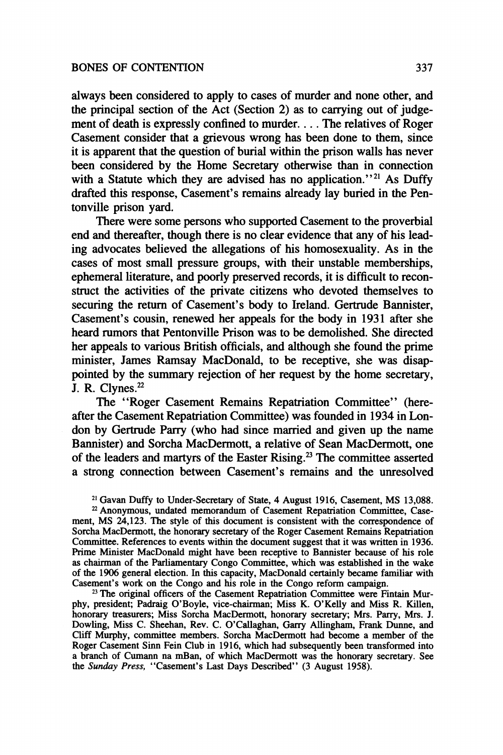#### **BONES OF CONTENTION**

**always been considered to apply to cases of murder and none other, and the principal section of the Act (Section 2) as to carrying out of judgement of death is expressly confined to murder.... The relatives of Roger Casement consider that a grievous wrong has been done to them, since it is apparent that the question of burial within the prison walls has never been considered by the Home Secretary otherwise than in connection**  with a Statute which they are advised has no application."<sup>21</sup> As Duffy **drafted this response, Casement's remains already lay buried in the Pentonville prison yard.** 

**There were some persons who supported Casement to the proverbial end and thereafter, though there is no clear evidence that any of his leading advocates believed the allegations of his homosexuality. As in the cases of most small pressure groups, with their unstable memberships, ephemeral literature, and poorly preserved records, it is difficult to reconstruct the activities of the private citizens who devoted themselves to securing the return of Casement's body to Ireland. Gertrude Bannister, Casement's cousin, renewed her appeals for the body in 1931 after she heard rumors that Pentonville Prison was to be demolished. She directed her appeals to various British officials, and although she found the prime minister, James Ramsay MacDonald, to be receptive, she was disappointed by the summary rejection of her request by the home secretary, J. R. Clynes.22** 

**The "Roger Casement Remains Repatriation Committee" (hereafter the Casement Repatriation Committee) was founded in 1934 in London by Gertrude Parry (who had since married and given up the name Bannister) and Sorcha MacDermott, a relative of Sean MacDermott, one of the leaders and martyrs of the Easter Rising.23 The committee asserted a strong connection between Casement's remains and the unresolved** 

<sup>21</sup> Gavan Duffy to Under-Secretary of State, 4 August 1916, Casement, MS 13,088.<br><sup>22</sup> Anonymous, undated memorandum of Casement Repatriation Committee, Case-

**ment, MS 24,123. The style of this document is consistent with the correspondence of Sorcha MacDermott, the honorary secretary of the Roger Casement Remains Repatriation Committee. References to events within the document suggest that it was written in 1936. Prime Minister MacDonald might have been receptive to Bannister because of his role as chairman of the Parliamentary Congo Committee, which was established in the wake**  of the 1906 general election. In this capacity, MacDonald certainly became familiar with Casement's work on the Congo and his role in the Congo reform campaign.

<sup>23</sup> The original officers of the Casement Repatriation Committee were Fintain Mur**phy, president; Padraig O'Boyle, vice-chairman; Miss K. O'Kelly and Miss R. Killen, honorary treasurers; Miss Sorcha MacDermott, honorary secretary; Mrs. Parry, Mrs. J. Dowling, Miss C. Sheehan, Rev. C. O'Callaghan, Garry Allingham, Frank Dunne, and Cliff Murphy, committee members. Sorcha MacDermott had become a member of the Roger Casement Sinn Fein Club in 1916, which had subsequently been transformed into a branch of Cumann na mBan, of which MacDermott was the honorary secretary. See the Sunday Press, "Casement's Last Days Described" (3 August 1958).**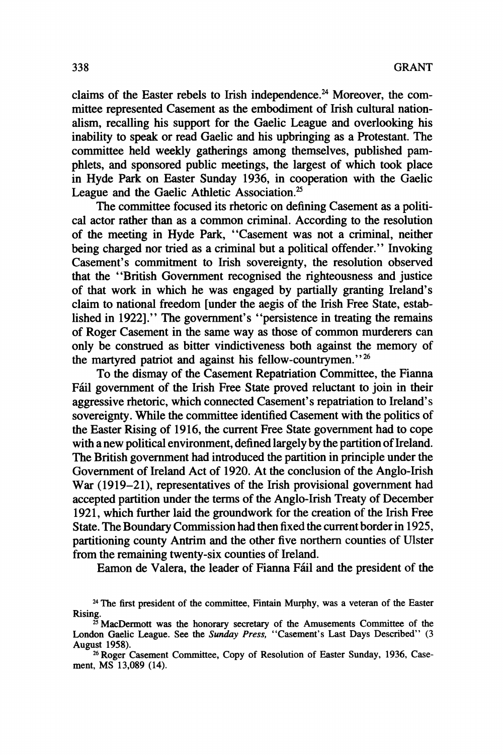**claims of the Easter rebels to Irish independence.24 Moreover, the committee represented Casement as the embodiment of Irish cultural nationalism, recalling his support for the Gaelic League and overlooking his inability to speak or read Gaelic and his upbringing as a Protestant. The committee held weekly gatherings among themselves, published pamphlets, and sponsored public meetings, the largest of which took place in Hyde Park on Easter Sunday 1936, in cooperation with the Gaelic League and the Gaelic Athletic Association.25** 

**The committee focused its rhetoric on defining Casement as a political actor rather than as a common criminal. According to the resolution of the meeting in Hyde Park, "Casement was not a criminal, neither being charged nor tried as a criminal but a political offender." Invoking Casement's commitment to Irish sovereignty, the resolution observed that the "British Government recognised the righteousness and justice of that work in which he was engaged by partially granting Ireland's claim to national freedom [under the aegis of the Irish Free State, established in 1922]." The government's "persistence in treating the remains of Roger Casement in the same way as those of common murderers can only be construed as bitter vindictiveness both against the memory of the martyred patriot and against his fellow-countrymen."26** 

**To the dismay of the Casement Repatriation Committee, the Fianna Fail government of the Irish Free State proved reluctant to join in their aggressive rhetoric, which connected Casement's repatriation to Ireland's sovereignty. While the committee identified Casement with the politics of the Easter Rising of 1916, the current Free State government had to cope with a new political environment, defined largely by the partition of Ireland. The British government had introduced the partition in principle under the Government of Ireland Act of 1920. At the conclusion of the Anglo-Irish War (1919-21), representatives of the Irish provisional government had accepted partition under the terms of the Anglo-Irish Treaty of December 1921, which further laid the groundwork for the creation of the Irish Free State. The Boundary Commission had then fixed the current border in 1925, partitioning county Antrim and the other five northern counties of Ulster from the remaining twenty-six counties of Ireland.** 

Eamon de Valera, the leader of Fianna Fáil and the president of the

**<sup>24</sup>The first president of the committee, Fintain Murphy, was a veteran of the Easter** 

**Rising. <sup>25</sup>MacDermott was the honorary secretary of the Amusements Committee of the London Gaelic League. See the Sunday Press, "Casement's Last Days Described" (3 August 1958).** 

**<sup>26</sup> Roger Casement Committee, Copy of Resolution of Easter Sunday, 1936, Casement, MS 13,089 (14).**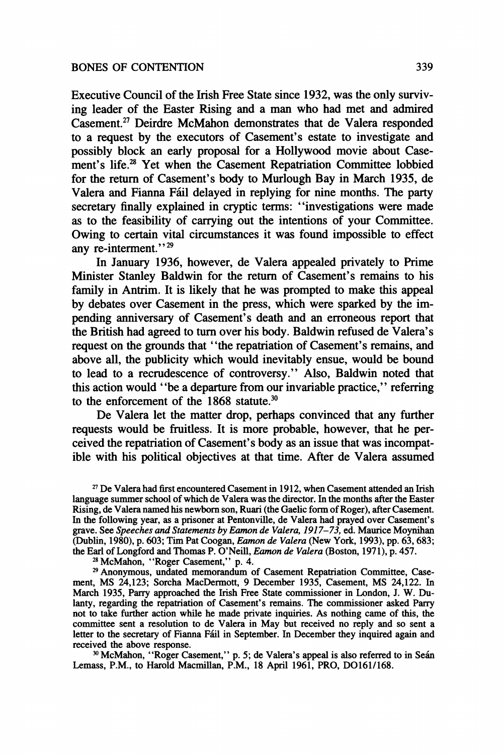**Executive Council of the Irish Free State since 1932, was the only surviving leader of the Easter Rising and a man who had met and admired Casement.7 Deirdre McMahon demonstrates that de Valera responded to a request by the executors of Casement's estate to investigate and possibly block an early proposal for a Hollywood movie about Case**ment's life.<sup>28</sup> Yet when the Casement Repatriation Committee lobbied **for the return of Casement's body to Murlough Bay in March 1935, de Valera and Fianna Faiil delayed in replying for nine months. The party secretary finally explained in cryptic terms: "investigations were made as to the feasibility of carrying out the intentions of your Committee. Owing to certain vital circumstances it was found impossible to effect any re-interment."29** 

**In January 1936, however, de Valera appealed privately to Prime Minister Stanley Baldwin for the return of Casement's remains to his family in Antrim. It is likely that he was prompted to make this appeal by debates over Casement in the press, which were sparked by the impending anniversary of Casement's death and an erroneous report that the British had agreed to turn over his body. Baldwin refused de Valera's request on the grounds that "the repatriation of Casement's remains, and above all, the publicity which would inevitably ensue, would be bound to lead to a recrudescence of controversy." Also, Baldwin noted that this action would "be a departure from our invariable practice," referring to the enforcement of the 1868 statute.30** 

**De Valera let the matter drop, perhaps convinced that any further requests would be fruitless. It is more probable, however, that he perceived the repatriation of Casement's body as an issue that was incompatible with his political objectives at that time. After de Valera assumed** 

**<sup>27</sup>De Valera had first encountered Casement in 1912, when Casement attended an Irish language summer school of which de Valera was the director. In the months after the Easter Rising, de Valera named his newborn son, Ruari (the Gaelic form of Roger), after Casement. In the following year, as a prisoner at Pentonville, de Valera had prayed over Casement's grave. See Speeches and Statements by Eamon de Valera, 1917-73, ed. Maurice Moynihan (Dublin, 1980), p. 603; Tim Pat Coogan, Eamon de Valera (New York, 1993), pp. 63, 683; the Earl of Longford and Thomas P. O'Neill, Eamon de Valera (Boston, 1971), p. 457.** 

**28 McMahon, "Roger Casement," p. 4.** 

**29 Anonymous, undated memorandum of Casement Repatriation Committee, Casement, MS 24,123; Sorcha MacDermott, 9 December 1935, Casement, MS 24,122. In March 1935, Parry approached the Irish Free State commissioner in London, J. W. Dulanty, regarding the repatriation of Casement's remains. The commissioner asked Parry not to take further action while he made private inquiries. As nothing came of this, the committee sent a resolution to de Valera in May but received no reply and so sent a**  letter to the secretary of Fianna Fáil in September. In December they inquired again and **received the above response.** 

**30 McMahon, "Roger Casement," p. 5; de Valera's appeal is also referred to in Sean Lemass, P.M., to Harold Macmillan, P.M., 18 April 1961, PRO, D0161/168.**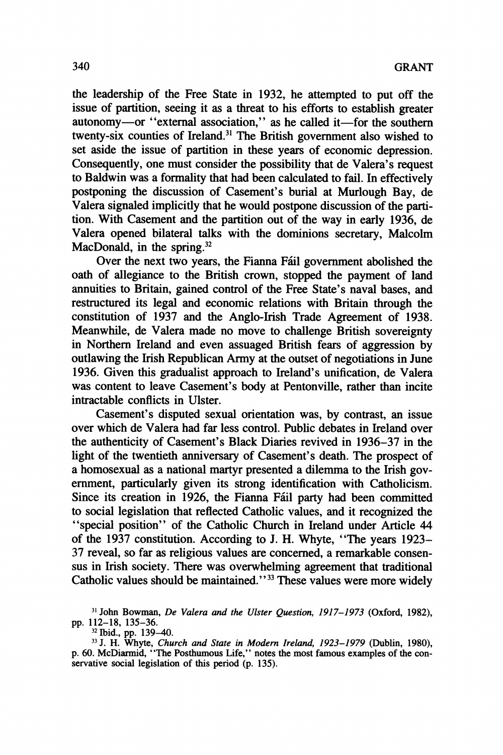**the leadership of the Free State in 1932, he attempted to put off the issue of partition, seeing it as a threat to his efforts to establish greater**  autonomy-or "external association," as he called it-for the southern **twenty-six counties of Ireland.3" The British government also wished to set aside the issue of partition in these years of economic depression. Consequently, one must consider the possibility that de Valera's request to Baldwin was a formality that had been calculated to fail. In effectively postponing the discussion of Casement's burial at Murlough Bay, de Valera signaled implicitly that he would postpone discussion of the partition. With Casement and the partition out of the way in early 1936, de Valera opened bilateral talks with the dominions secretary, Malcolm MacDonald, in the spring.32** 

Over the next two years, the Fianna Fatel government abolished the **oath of allegiance to the British crown, stopped the payment of land annuities to Britain, gained control of the Free State's naval bases, and restructured its legal and economic relations with Britain through the constitution of 1937 and the Anglo-Irish Trade Agreement of 1938. Meanwhile, de Valera made no move to challenge British sovereignty in Northern Ireland and even assuaged British fears of aggression by outlawing the Irish Republican Army at the outset of negotiations in June 1936. Given this gradualist approach to Ireland's unification, de Valera was content to leave Casement's body at Pentonville, rather than incite intractable conflicts in Ulster.** 

**Casement's disputed sexual orientation was, by contrast, an issue over which de Valera had far less control. Public debates in Ireland over the authenticity of Casement's Black Diaries revived in 1936-37 in the light of the twentieth anniversary of Casement's death. The prospect of a homosexual as a national martyr presented a dilemma to the Irish government, particularly given its strong identification with Catholicism. Since its creation in 1926, the Fianna Fail party had been committed to social legislation that reflected Catholic values, and it recognized the "special position" of the Catholic Church in Ireland under Article 44 of the 1937 constitution. According to J. H. Whyte, "The years 1923- 37 reveal, so far as religious values are concerned, a remarkable consensus in Irish society. There was overwhelming agreement that traditional Catholic values should be maintained."33 These values were more widely** 

<sup>31</sup> John Bowman, *De Valera and the Ulster Question, 1917-1973* (Oxford, 1982), **pp. 112-18, 135-36.** 

**32Ibid., pp. 139-40.** 

**33 J. H. Whyte, Church and State in Modem Ireland, 1923-1979 (Dublin, 1980), p. 60. McDiarmid, "The Posthumous Life," notes the most famous examples of the conservative social legislation of this period (p. 135).**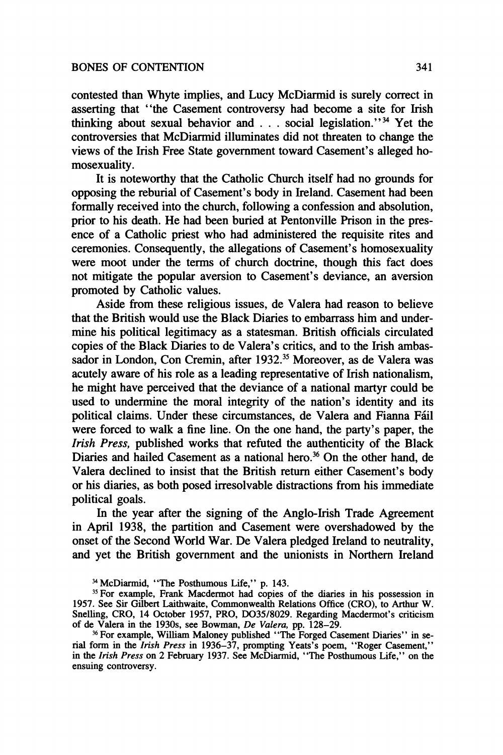**contested than Whyte implies, and Lucy McDiarmid is surely correct in asserting that "the Casement controversy had become a site for Irish thinking about sexual behavior and . . . social legislation."34 Yet the controversies that McDiarmid illuminates did not threaten to change the views of the Irish Free State government toward Casement's alleged homosexuality.** 

**It is noteworthy that the Catholic Church itself had no grounds for opposing the reburial of Casement's body in Ireland. Casement had been formally received into the church, following a confession and absolution, prior to his death. He had been buried at Pentonville Prison in the presence of a Catholic priest who had administered the requisite rites and ceremonies. Consequently, the allegations of Casement's homosexuality were moot under the terms of church doctrine, though this fact does not mitigate the popular aversion to Casement's deviance, an aversion promoted by Catholic values.** 

**Aside from these religious issues, de Valera had reason to believe that the British would use the Black Diaries to embarrass him and undermine his political legitimacy as a statesman. British officials circulated copies of the Black Diaries to de Valera's critics, and to the Irish ambassador in London, Con Cremin, after 1932.35 Moreover, as de Valera was acutely aware of his role as a leading representative of Irish nationalism, he might have perceived that the deviance of a national martyr could be used to undermine the moral integrity of the nation's identity and its political claims. Under these circumstances, de Valera and Fianna Fail were forced to walk a fine line. On the one hand, the party's paper, the Irish Press, published works that refuted the authenticity of the Black**  Diaries and hailed Casement as a national hero.<sup>36</sup> On the other hand, de **Valera declined to insist that the British return either Casement's body or his diaries, as both posed irresolvable distractions from his immediate political goals.** 

**In the year after the signing of the Anglo-Irish Trade Agreement in April 1938, the partition and Casement were overshadowed by the onset of the Second World War. De Valera pledged Ireland to neutrality, and yet the British government and the unionists in Northern Ireland** 

**<sup>34</sup> McDiarmid, "The Posthumous Life," p. 143.** 

**<sup>35</sup>For example, Frank Macdermot had copies of the diaries in his possession in 1957. See Sir Gilbert Laithwaite, Commonwealth Relations Office (CRO), to Arthur W. Snelling, CRO, 14 October 1957, PRO, D035/8029. Regarding Macdermot's criticism of de Valera in the 1930s, see Bowman, De Valera, pp. 128-29.** 

**<sup>36</sup> For example, William Maloney published "The Forged Casement Diaries" in serial form in the Irish Press in 1936-37, prompting Yeats's poem, "Roger Casement," in the Irish Press on 2 February 1937. See McDiarmid, "The Posthumous Life," on the ensuing controversy.**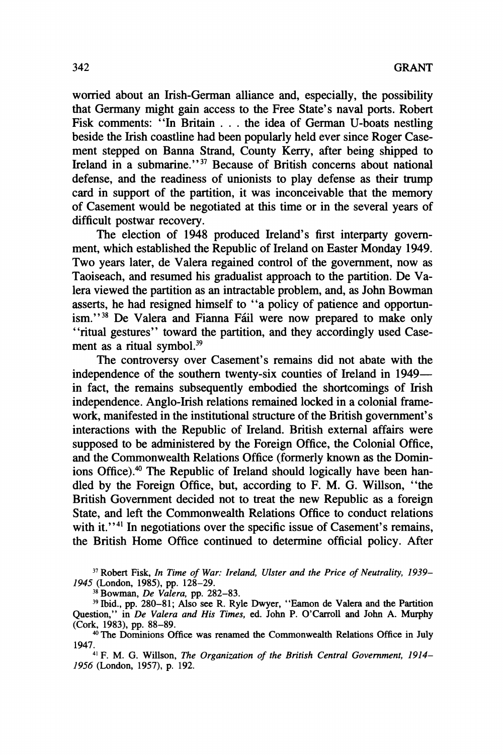**worried about an Irish-German alliance and, especially, the possibility that Germany might gain access to the Free State's naval ports. Robert Fisk comments: "In Britain ... the idea of German U-boats nestling beside the Irish coastline had been popularly held ever since Roger Casement stepped on Banna Strand, County Kerry, after being shipped to Ireland in a submarine."37 Because of British concerns about national defense, and the readiness of unionists to play defense as their trump card in support of the partition, it was inconceivable that the memory of Casement would be negotiated at this time or in the several years of difficult postwar recovery.** 

**The election of 1948 produced Ireland's first interparty government, which established the Republic of Ireland on Easter Monday 1949. Two years later, de Valera regained control of the government, now as Taoiseach, and resumed his gradualist approach to the partition. De Valera viewed the partition as an intractable problem, and, as John Bowman asserts, he had resigned himself to "a policy of patience and opportun**ism."<sup>38</sup> De Valera and Fianna Fáil were now prepared to make only **"ritual gestures" toward the partition, and they accordingly used Casement as a ritual symbol.39** 

**The controversy over Casement's remains did not abate with the**  independence of the southern twenty-six counties of Ireland in 1949 **in fact, the remains subsequently embodied the shortcomings of Irish independence. Anglo-Irish relations remained locked in a colonial framework, manifested in the institutional structure of the British government's interactions with the Republic of Ireland. British external affairs were supposed to be administered by the Foreign Office, the Colonial Office, and the Commonwealth Relations Office (formerly known as the Dominions Office).40 The Republic of Ireland should logically have been handled by the Foreign Office, but, according to F. M. G. Willson, "the British Government decided not to treat the new Republic as a foreign State, and left the Commonwealth Relations Office to conduct relations**  with it."<sup>41</sup> In negotiations over the specific issue of Casement's remains, **the British Home Office continued to determine official policy. After** 

**37 Robert Fisk, In Time of War: Ireland, Ulster and the Price of Neutrality, 1939- 1945 (London, 1985), pp. 128-29.** 

**<sup>41</sup>F. M. G. Willson, The Organization of the British Central Government, 1914- 1956 (London, 1957), p. 192.** 

**<sup>38</sup> Bowman, De Valera, pp. 282-83.** 

**<sup>39</sup> Ibid., pp. 280-81; Also see R. Ryle Dwyer, "Eamon de Valera and the Partition Question," in De Valera and His Times, ed. John P. O'Carroll and John A. Murphy (Cork, 1983), pp. 88-89.** 

**<sup>40</sup>The Dominions Office was renamed the Commonwealth Relations Office in July 1947.**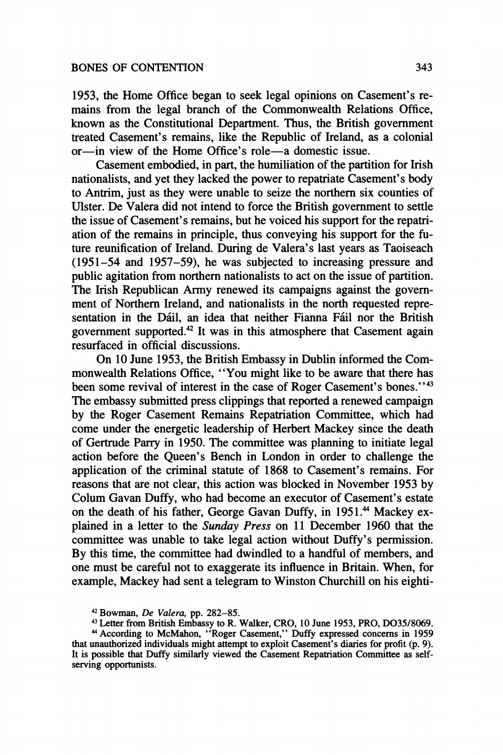**1953, the Home Office began to seek legal opinions on Casement's remains from the legal branch of the Commonwealth Relations Office, known as the Constitutional Department. Thus, the British government treated Casement's remains, like the Republic of Ireland, as a colonial or-in view of the Home Office's role-a domestic issue.** 

**Casement embodied, in part, the humiliation of the partition for Irish nationalists, and yet they lacked the power to repatriate Casement's body to Antrim, just as they were unable to seize the northern six counties of Ulster. De Valera did not intend to force the British government to settle the issue of Casement's remains, but he voiced his support for the repatriation of the remains in principle, thus conveying his support for the future reunification of Ireland. During de Valera's last years as Taoiseach (1951-54 and 1957-59), he was subjected to increasing pressure and public agitation from northern nationalists to act on the issue of partition. The Irish Republican Army renewed its campaigns against the government of Northern Ireland, and nationalists in the north requested repre**sentation in the Dáil, an idea that neither Fianna Fáil nor the British **government supported.42 It was in this atmosphere that Casement again resurfaced in official discussions.** 

**On 10 June 1953, the British Embassy in Dublin informed the Commonwealth Relations Office, "You might like to be aware that there has been some revival of interest in the case of Roger Casement's bones."43 The embassy submitted press clippings that reported a renewed campaign by the Roger Casement Remains Repatriation Committee, which had come under the energetic leadership of Herbert Mackey since the death of Gertrude Parry in 1950. The committee was planning to initiate legal action before the Queen's Bench in London in order to challenge the application of the criminal statute of 1868 to Casement's remains. For reasons that are not clear, this action was blocked in November 1953 by Colum Gavan Duffy, who had become an executor of Casement's estate on the death of his father, George Gavan Duffy, in 1951.44 Mackey explained in a letter to the Sunday Press on 11 December 1960 that the committee was unable to take legal action without Duffy's permission. By this time, the committee had dwindled to a handful of members, and one must be careful not to exaggerate its influence in Britain. When, for example, Mackey had sent a telegram to Winston Churchill on his eighti-**

**<sup>42</sup> Bowman, De Valera, pp. 282-85.** 

**<sup>43</sup>Letter from British Embassy to R. Walker, CRO, 10 June 1953, PRO, D035/8069.** 

**<sup>44</sup>According to McMahon, "Roger Casement," Duffy expressed concerns in 1959 that unauthorized individuals might attempt to exploit Casement's diaries for profit (p. 9). It is possible that Duffy similarly viewed the Casement Repatriation Committee as selfserving opportunists.**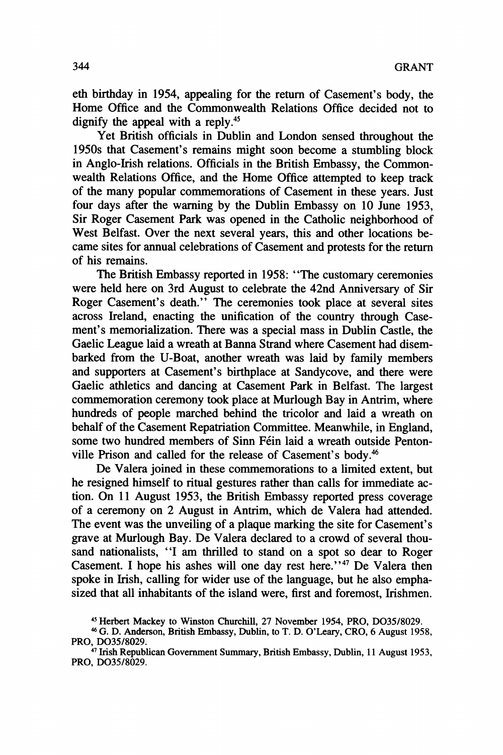**eth birthday in 1954, appealing for the return of Casement's body, the Home Office and the Commonwealth Relations Office decided not to dignify the appeal with a reply.45** 

**Yet British officials in Dublin and London sensed throughout the 1950s that Casement's remains might soon become a stumbling block in Anglo-Irish relations. Officials in the British Embassy, the Commonwealth Relations Office, and the Home Office attempted to keep track of the many popular commemorations of Casement in these years. Just four days after the warning by the Dublin Embassy on 10 June 1953, Sir Roger Casement Park was opened in the Catholic neighborhood of West Belfast. Over the next several years, this and other locations became sites for annual celebrations of Casement and protests for the return of his remains.** 

**The British Embassy reported in 1958: "The customary ceremonies were held here on 3rd August to celebrate the 42nd Anniversary of Sir Roger Casement's death." The ceremonies took place at several sites across Ireland, enacting the unification of the country through Casement's memorialization. There was a special mass in Dublin Castle, the Gaelic League laid a wreath at Banna Strand where Casement had disembarked from the U-Boat, another wreath was laid by family members and supporters at Casement's birthplace at Sandycove, and there were Gaelic athletics and dancing at Casement Park in Belfast. The largest commemoration ceremony took place at Murlough Bay in Antrim, where hundreds of people marched behind the tricolor and laid a wreath on behalf of the Casement Repatriation Committee. Meanwhile, in England,**  some two hundred members of Sinn Féin laid a wreath outside Penton**ville Prison and called for the release of Casement's body.46** 

**De Valera joined in these commemorations to a limited extent, but he resigned himself to ritual gestures rather than calls for immediate action. On 11 August 1953, the British Embassy reported press coverage of a ceremony on 2 August in Antrim, which de Valera had attended. The event was the unveiling of a plaque marking the site for Casement's grave at Murlough Bay. De Valera declared to a crowd of several thousand nationalists, "I am thrilled to stand on a spot so dear to Roger Casement. I hope his ashes will one day rest here."47 De Valera then spoke in Irish, calling for wider use of the language, but he also emphasized that all inhabitants of the island were, first and foremost, Irishmen.** 

**<sup>45</sup>Herbert Mackey to Winston Churchill, 27 November 1954, PRO, D035/8029.** 

**<sup>46</sup>G. D. Anderson, British Embassy, Dublin, to T. D. O'Leary, CRO, 6 August 1958, PRO, D035/8029.** 

**<sup>47</sup>Irish Republican Government Summary, British Embassy, Dublin, 11 August 1953, PRO, D035/8029.**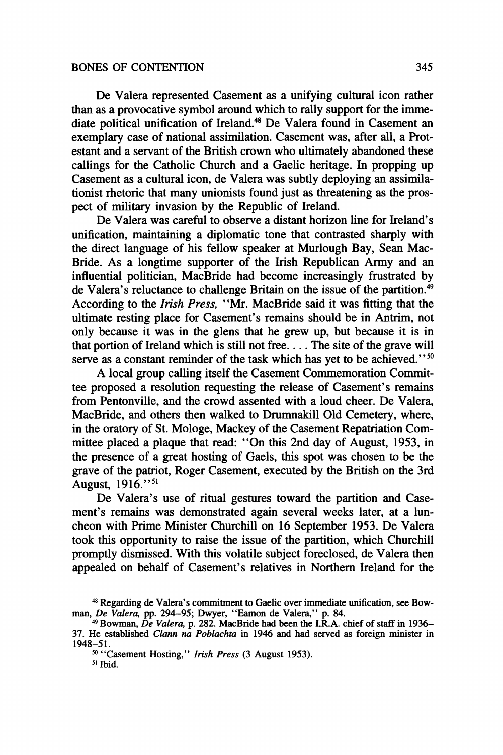### **BONES OF CONTENTION**

**De Valera represented Casement as a unifying cultural icon rather than as a provocative symbol around which to rally support for the immediate political unification of Ireland."4 De Valera found in Casement an exemplary case of national assimilation. Casement was, after all, a Protestant and a servant of the British crown who ultimately abandoned these callings for the Catholic Church and a Gaelic heritage. In propping up Casement as a cultural icon, de Valera was subtly deploying an assimilationist rhetoric that many unionists found just as threatening as the prospect of military invasion by the Republic of Ireland.** 

**De Valera was careful to observe a distant horizon line for Ireland's unification, maintaining a diplomatic tone that contrasted sharply with the direct language of his fellow speaker at Murlough Bay, Sean Mac-Bride. As a longtime supporter of the Irish Republican Army and an influential politician, MacBride had become increasingly frustrated by de Valera's reluctance to challenge Britain on the issue of the partition.49 According to the Irish Press, "Mr. MacBride said it was fitting that the ultimate resting place for Casement's remains should be in Antrim, not only because it was in the glens that he grew up, but because it is in that portion of Ireland which is still not free.... The site of the grave will serve as a constant reminder of the task which has yet to be achieved."50** 

**A local group calling itself the Casement Commemoration Committee proposed a resolution requesting the release of Casement's remains from Pentonville, and the crowd assented with a loud cheer. De Valera, MacBride, and others then walked to Drumnakill Old Cemetery, where, in the oratory of St. Mologe, Mackey of the Casement Repatriation Committee placed a plaque that read: "On this 2nd day of August, 1953, in the presence of a great hosting of Gaels, this spot was chosen to be the grave of the patriot, Roger Casement, executed by the British on the 3rd August, 1916." 51** 

**De Valera's use of ritual gestures toward the partition and Casement's remains was demonstrated again several weeks later, at a luncheon with Prime Minister Churchill on 16 September 1953. De Valera took this opportunity to raise the issue of the partition, which Churchill promptly dismissed. With this volatile subject foreclosed, de Valera then appealed on behalf of Casement's relatives in Northern Ireland for the** 

<sup>&</sup>lt;sup>48</sup> Regarding de Valera's commitment to Gaelic over immediate unification, see Bow**man, De Valera, pp. 294-95; Dwyer, "Eamon de Valera," p. 84.** 

**<sup>49</sup> Bowman, De Valera, p. 282. MacBride had been the I.R.A. chief of staff in 1936- 37. He established Clann na Poblachta in 1946 and had served as foreign minister in 1948-51.** 

**<sup>50 &</sup>quot;Casement Hosting," Irish Press (3 August 1953). 51 Ibid.**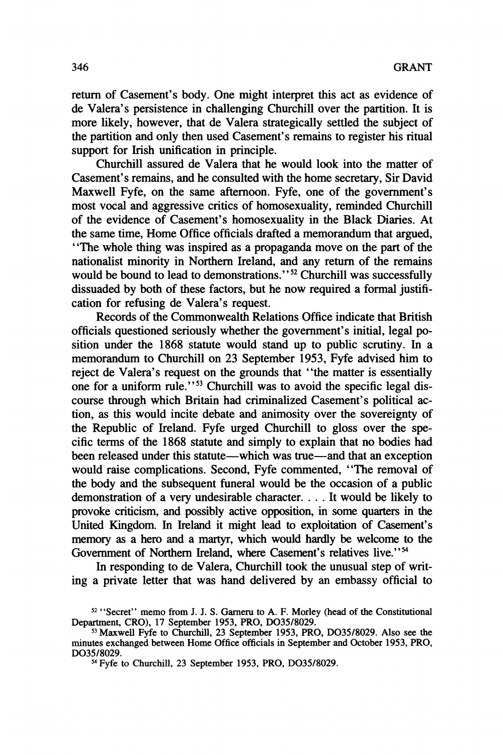**return of Casement's body. One might interpret this act as evidence of de Valera's persistence in challenging Churchill over the partition. It is more likely, however, that de Valera strategically settled the subject of the partition and only then used Casement's remains to register his ritual support for Irish unification in principle.** 

**Churchill assured de Valera that he would look into the matter of Casement's remains, and he consulted with the home secretary, Sir David Maxwell Fyfe, on the same afternoon. Fyfe, one of the government's most vocal and aggressive critics of homosexuality, reminded Churchill of the evidence of Casement's homosexuality in the Black Diaries. At the same time, Home Office officials drafted a memorandum that argued, "The whole thing was inspired as a propaganda move on the part of the nationalist minority in Northern Ireland, and any return of the remains would be bound to lead to demonstrations."52 Churchill was successfully dissuaded by both of these factors, but he now required a formal justification for refusing de Valera's request.** 

**Records of the Commonwealth Relations Office indicate that British officials questioned seriously whether the government's initial, legal position under the 1868 statute would stand up to public scrutiny. In a memorandum to Churchill on 23 September 1953, Fyfe advised him to reject de Valera's request on the grounds that "the matter is essentially one for a uniform rule."53 Churchill was to avoid the specific legal discourse through which Britain had criminalized Casement's political action, as this would incite debate and animosity over the sovereignty of the Republic of Ireland. Fyfe urged Churchill to gloss over the specific terms of the 1868 statute and simply to explain that no bodies had**  been released under this statute--which was true--and that an exception **would raise complications. Second, Fyfe commented, "The removal of the body and the subsequent funeral would be the occasion of a public demonstration of a very undesirable character. ... It would be likely to provoke criticism, and possibly active opposition, in some quarters in the United Kingdom. In Ireland it might lead to exploitation of Casement's memory as a hero and a martyr, which would hardly be welcome to the**  Government of Northern Ireland, where Casement's relatives live."<sup>54</sup>

**In responding to de Valera, Churchill took the unusual step of writing a private letter that was hand delivered by an embassy official to** 

**<sup>52</sup>"Secret" memo from J. J. S. Garneru to A. F. Morley (head of the Constitutional Department, CRO), 17 September 1953, PRO, D035/8029.** 

**<sup>53</sup> Maxwell Fyfe to Churchill, 23 September 1953, PRO, D035/8029. Also see the minutes exchanged between Home Office officials in September and October 1953, PRO, D035/8029.** 

**<sup>54</sup>Fyfe to Churchill, 23 September 1953, PRO, D035/8029.**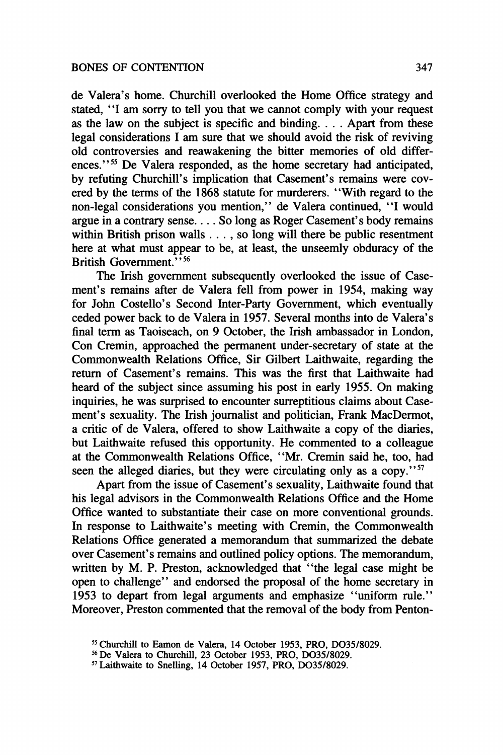**de Valera's home. Churchill overlooked the Home Office strategy and stated, "I am sorry to tell you that we cannot comply with your request as the law on the subject is specific and binding.... Apart from these legal considerations I am sure that we should avoid the risk of reviving old controversies and reawakening the bitter memories of old differences."55 De Valera responded, as the home secretary had anticipated, by refuting Churchill's implication that Casement's remains were covered by the terms of the 1868 statute for murderers. "With regard to the non-legal considerations you mention," de Valera continued, "I would argue in a contrary sense.... So long as Roger Casement's body remains within British prison walls ..., so long will there be public resentment here at what must appear to be, at least, the unseemly obduracy of the British Government."56** 

**The Irish government subsequently overlooked the issue of Casement's remains after de Valera fell from power in 1954, making way for John Costello's Second Inter-Party Government, which eventually ceded power back to de Valera in 1957. Several months into de Valera's final term as Taoiseach, on 9 October, the Irish ambassador in London, Con Cremin, approached the permanent under-secretary of state at the Commonwealth Relations Office, Sir Gilbert Laithwaite, regarding the return of Casement's remains. This was the first that Laithwaite had heard of the subject since assuming his post in early 1955. On making inquiries, he was surprised to encounter surreptitious claims about Casement's sexuality. The Irish journalist and politician, Frank MacDermot, a critic of de Valera, offered to show Laithwaite a copy of the diaries, but Laithwaite refused this opportunity. He commented to a colleague at the Commonwealth Relations Office, "Mr. Cremin said he, too, had seen the alleged diaries, but they were circulating only as a copy."57** 

**Apart from the issue of Casement's sexuality, Laithwaite found that his legal advisors in the Commonwealth Relations Office and the Home Office wanted to substantiate their case on more conventional grounds. In response to Laithwaite's meeting with Cremin, the Commonwealth Relations Office generated a memorandum that summarized the debate over Casement's remains and outlined policy options. The memorandum, written by M. P. Preston, acknowledged that "the legal case might be open to challenge" and endorsed the proposal of the home secretary in 1953 to depart from legal arguments and emphasize "uniform rule." Moreover, Preston commented that the removal of the body from Penton-**

<sup>&</sup>lt;sup>55</sup> Churchill to Eamon de Valera, 14 October 1953, PRO, DO35/8029.<br><sup>56</sup> De Valera to Churchill, 23 October 1953, PRO, DO35/8029.

**<sup>57</sup> Laithwaite to Snelling, 14 October 1957, PRO, D035/8029.**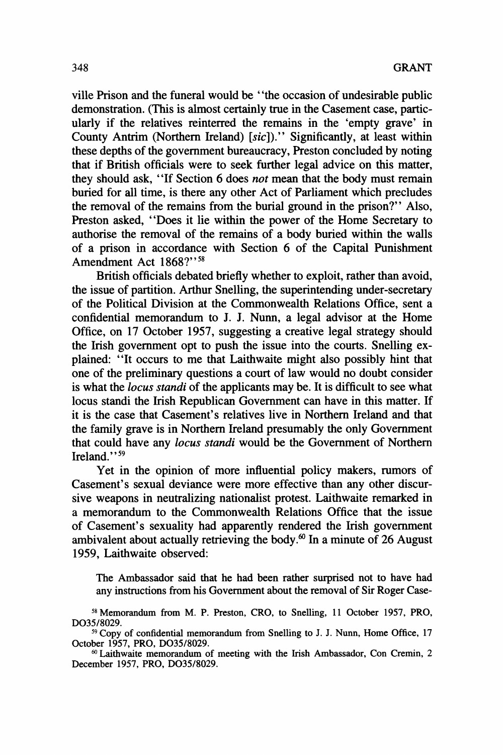**ville Prison and the funeral would be "the occasion of undesirable public demonstration. (This is almost certainly true in the Casement case, particularly if the relatives reinterred the remains in the 'empty grave' in County Antrim (Northern Ireland) [sic])." Significantly, at least within these depths of the government bureaucracy, Preston concluded by noting that if British officials were to seek further legal advice on this matter, they should ask, "If Section 6 does not mean that the body must remain buried for all time, is there any other Act of Parliament which precludes the removal of the remains from the burial ground in the prison?" Also, Preston asked, "Does it lie within the power of the Home Secretary to authorise the removal of the remains of a body buried within the walls of a prison in accordance with Section 6 of the Capital Punishment Amendment Act 1868?" 58** 

**British officials debated briefly whether to exploit, rather than avoid, the issue of partition. Arthur Snelling, the superintending under-secretary of the Political Division at the Commonwealth Relations Office, sent a confidential memorandum to J. J. Nunn, a legal advisor at the Home Office, on 17 October 1957, suggesting a creative legal strategy should the Irish government opt to push the issue into the courts. Snelling explained: "It occurs to me that Laithwaite might also possibly hint that one of the preliminary questions a court of law would no doubt consider is what the locus standi of the applicants may be. It is difficult to see what locus standi the Irish Republican Government can have in this matter. If it is the case that Casement's relatives live in Northern Ireland and that the family grave is in Northern Ireland presumably the only Government that could have any locus standi would be the Government of Northern Ireland."59** 

**Yet in the opinion of more influential policy makers, rumors of Casement's sexual deviance were more effective than any other discursive weapons in neutralizing nationalist protest. Laithwaite remarked in a memorandum to the Commonwealth Relations Office that the issue of Casement's sexuality had apparently rendered the Irish government ambivalent about actually retrieving the body.6 In a minute of 26 August 1959, Laithwaite observed:** 

**The Ambassador said that he had been rather surprised not to have had any instructions from his Government about the removal of Sir Roger Case-**

**58Memorandum from M. P. Preston, CRO, to Snelling, 11 October 1957, PRO, D035/8029.** 

**59 Copy of confidential memorandum from Snelling to J. J. Nunn, Home Office, 17 October 1957, PRO, D035/8029.** 

**60 Laithwaite memorandum of meeting with the Irish Ambassador, Con Cremin, 2 December 1957, PRO, D035/8029.**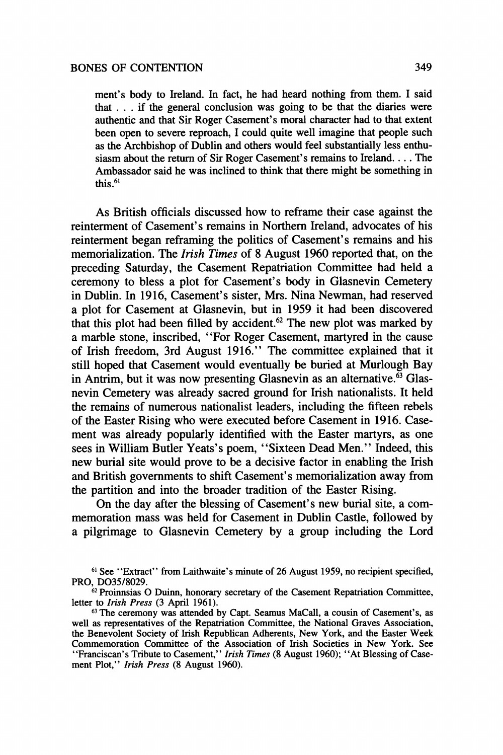#### **BONES OF CONTENTION**

**ment's body to Ireland. In fact, he had heard nothing from them. I said that ... if the general conclusion was going to be that the diaries were authentic and that Sir Roger Casement's moral character had to that extent been open to severe reproach, I could quite well imagine that people such as the Archbishop of Dublin and others would feel substantially less enthusiasm about the return of Sir Roger Casement's remains to Ireland.... The Ambassador said he was inclined to think that there might be something in this.61** 

**As British officials discussed how to reframe their case against the reinterment of Casement's remains in Northern Ireland, advocates of his**  reinterment began reframing the politics of Casement's remains and his **memorialization. The Irish Times of 8 August 1960 reported that, on the preceding Saturday, the Casement Repatriation Committee had held a ceremony to bless a plot for Casement's body in Glasnevin Cemetery in Dublin. In 1916, Casement's sister, Mrs. Nina Newman, had reserved a plot for Casement at Glasnevin, but in 1959 it had been discovered that this plot had been filled by accident.62 The new plot was marked by a marble stone, inscribed, "For Roger Casement, martyred in the cause of Irish freedom, 3rd August 1916." The committee explained that it still hoped that Casement would eventually be buried at Murlough Bay**  in Antrim, but it was now presenting Glasnevin as an alternative.<sup>63</sup> Glas**nevin Cemetery was already sacred ground for Irish nationalists. It held the remains of numerous nationalist leaders, including the fifteen rebels of the Easter Rising who were executed before Casement in 1916. Casement was already popularly identified with the Easter martyrs, as one sees in William Butler Yeats's poem, "Sixteen Dead Men." Indeed, this new burial site would prove to be a decisive factor in enabling the Irish and British governments to shift Casement's memorialization away from the partition and into the broader tradition of the Easter Rising.** 

**On the day after the blessing of Casement's new burial site, a commemoration mass was held for Casement in Dublin Castle, followed by a pilgrimage to Glasnevin Cemetery by a group including the Lord** 

**<sup>61</sup>See "Extract" from Laithwaite's minute of 26 August 1959, no recipient specified, PRO, D035/8029.** 

**<sup>62</sup>Proinnsias O Duinn, honorary secretary of the Casement Repatriation Committee, letter to Irish Press (3 April 1961).** 

**<sup>63</sup>The ceremony was attended by Capt. Seamus MaCall, a cousin of Casement's, as well as representatives of the Repatriation Committee, the National Graves Association, the Benevolent Society of Irish Republican Adherents, New York, and the Easter Week Commemoration Committee of the Association of Irish Societies in New York. See "Franciscan's Tribute to Casement," Irish Times (8 August 1960); "At Blessing of Casement Plot," Irish Press (8 August 1960).**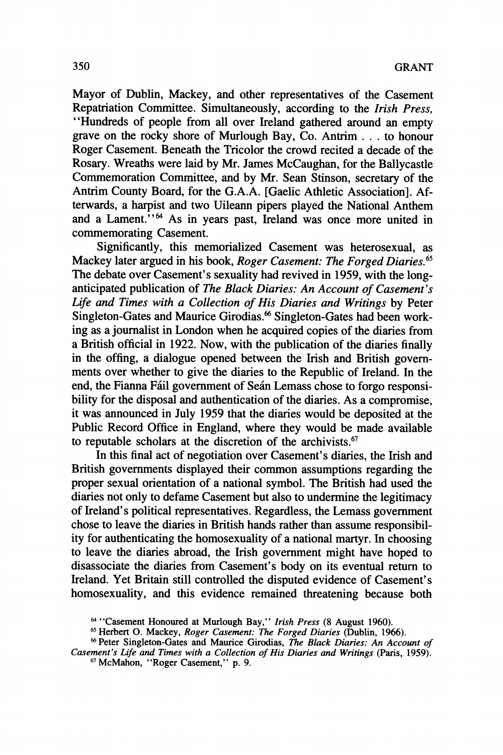**Mayor of Dublin, Mackey, and other representatives of the Casement Repatriation Committee. Simultaneously, according to the Irish Press, "Hundreds of people from all over Ireland gathered around an empty grave on the rocky shore of Murlough Bay, Co. Antrim ... to honour Roger Casement. Beneath the Tricolor the crowd recited a decade of the Rosary. Wreaths were laid by Mr. James McCaughan, for the Ballycastle Commemoration Committee, and by Mr. Sean Stinson, secretary of the Antrim County Board, for the G.A.A. [Gaelic Athletic Association]. Afterwards, a harpist and two Uileann pipers played the National Anthem**  and a Lament.<sup>5,64</sup> As in years past, Ireland was once more united in **commemorating Casement.** 

**Significantly, this memorialized Casement was heterosexual, as Mackey later argued in his book, Roger Casement: The Forged Diaries.65 The debate over Casement's sexuality had revived in 1959, with the longanticipated publication of The Black Diaries: An Account of Casement's Life and Times with a Collection of His Diaries and Writings by Peter**  Singleton-Gates and Maurice Girodias.<sup>66</sup> Singleton-Gates had been work**ing as a journalist in London when he acquired copies of the diaries from a British official in 1922. Now, with the publication of the diaries finally in the offing, a dialogue opened between the Irish and British governments over whether to give the diaries to the Republic of Ireland. In the**  end, the Fianna Fáil government of Seán Lemass chose to forgo responsi**bility for the disposal and authentication of the diaries. As a compromise, it was announced in July 1959 that the diaries would be deposited at the Public Record Office in England, where they would be made available to reputable scholars at the discretion of the archivists.7** 

**In this final act of negotiation over Casement's diaries, the Irish and British governments displayed their common assumptions regarding the proper sexual orientation of a national symbol. The British had used the diaries not only to defame Casement but also to undermine the legitimacy of Ireland's political representatives. Regardless, the Lemass government chose to leave the diaries in British hands rather than assume responsibility for authenticating the homosexuality of a national martyr. In choosing to leave the diaries abroad, the Irish government might have hoped to disassociate the diaries from Casement's body on its eventual return to Ireland. Yet Britain still controlled the disputed evidence of Casement's homosexuality, and this evidence remained threatening because both** 

**<sup>64</sup>"Casement Honoured at Murlough Bay," Irish Press (8 August 1960).** 

**<sup>65</sup> Herbert O. Mackey, Roger Casement: The Forged Diaries (Dublin, 1966).** 

**<sup>66</sup>Peter Singleton-Gates and Maurice Girodias, The Black Diaries: An Account of** 

**Casement's Life and Times with a Collection of His Diaries and Writings (Paris, 1959). 67McMahon, "Roger Casement," p. 9.**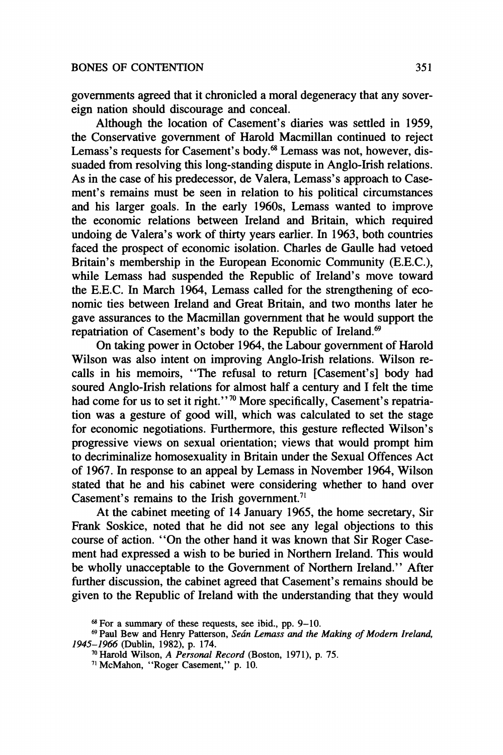**governments agreed that it chronicled a moral degeneracy that any sovereign nation should discourage and conceal.** 

**Although the location of Casement's diaries was settled in 1959, the Conservative government of Harold Macmillan continued to reject**  Lemass's requests for Casement's body.<sup>68</sup> Lemass was not, however, dis**suaded from resolving this long-standing dispute in Anglo-Irish relations. As in the case of his predecessor, de Valera, Lemass's approach to Casement's remains must be seen in relation to his political circumstances and his larger goals. In the early 1960s, Lemass wanted to improve the economic relations between Ireland and Britain, which required undoing de Valera's work of thirty years earlier. In 1963, both countries faced the prospect of economic isolation. Charles de Gaulle had vetoed Britain's membership in the European Economic Community (E.E.C.), while Lemass had suspended the Republic of Ireland's move toward the E.E.C. In March 1964, Lemass called for the strengthening of economic ties between Ireland and Great Britain, and two months later he gave assurances to the Macmillan government that he would support the repatriation of Casement's body to the Republic of Ireland.69** 

**On taking power in October 1964, the Labour government of Harold Wilson was also intent on improving Anglo-Irish relations. Wilson recalls in his memoirs, "The refusal to return [Casement's] body had soured Anglo-Irish relations for almost half a century and I felt the time had come for us to set it right."70 More specifically, Casement's repatriation was a gesture of good will, which was calculated to set the stage for economic negotiations. Furthermore, this gesture reflected Wilson's progressive views on sexual orientation; views that would prompt him to decriminalize homosexuality in Britain under the Sexual Offences Act of 1967. In response to an appeal by Lemass in November 1964, Wilson stated that he and his cabinet were considering whether to hand over**  Casement's remains to the Irish government.<sup>71</sup>

**At the cabinet meeting of 14 January 1965, the home secretary, Sir Frank Soskice, noted that he did not see any legal objections to this course of action. "On the other hand it was known that Sir Roger Casement had expressed a wish to be buried in Northern Ireland. This would be wholly unacceptable to the Government of Northern Ireland." After further discussion, the cabinet agreed that Casement's remains should be given to the Republic of Ireland with the understanding that they would** 

**<sup>68</sup> For a summary of these requests, see ibid., pp. 9-10.** 

<sup>&</sup>lt;sup>69</sup> Paul Bew and Henry Patterson, Seán Lemass and the Making of Modern Ireland, **1945-1966 (Dublin, 1982), p. 174.** 

**<sup>70</sup> Harold Wilson, A Personal Record (Boston, 1971), p. 75.** 

**<sup>71</sup>McMahon, "Roger Casement," p. 10.**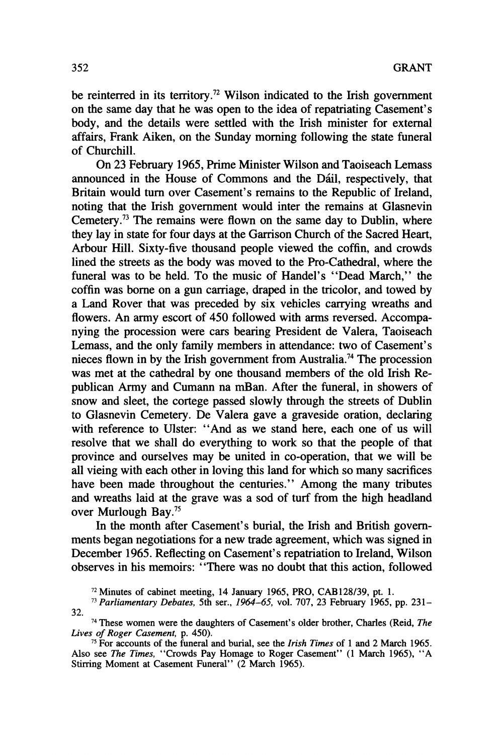**be reinterred in its territory.72 Wilson indicated to the Irish government on the same day that he was open to the idea of repatriating Casement's body, and the details were settled with the Irish minister for external affairs, Frank Aiken, on the Sunday morning following the state funeral of Churchill.** 

**On 23 February 1965, Prime Minister Wilson and Taoiseach Lemass announced in the House of Commons and the Daiil, respectively, that Britain would turn over Casement's remains to the Republic of Ireland, noting that the Irish government would inter the remains at Glasnevin Cemetery.73 The remains were flown on the same day to Dublin, where they lay in state for four days at the Garrison Church of the Sacred Heart, Arbour Hill. Sixty-five thousand people viewed the coffin, and crowds lined the streets as the body was moved to the Pro-Cathedral, where the funeral was to be held. To the music of Handel's "Dead March," the coffin was borne on a gun carriage, draped in the tricolor, and towed by a Land Rover that was preceded by six vehicles carrying wreaths and flowers. An army escort of 450 followed with arms reversed. Accompanying the procession were cars bearing President de Valera, Taoiseach Lemass, and the only family members in attendance: two of Casement's nieces flown in by the Irish government from Australia.74 The procession was met at the cathedral by one thousand members of the old Irish Republican Army and Cumann na mBan. After the funeral, in showers of snow and sleet, the cortege passed slowly through the streets of Dublin to Glasnevin Cemetery. De Valera gave a graveside oration, declaring with reference to Ulster: "And as we stand here, each one of us will resolve that we shall do everything to work so that the people of that province and ourselves may be united in co-operation, that we will be all vieing with each other in loving this land for which so many sacrifices have been made throughout the centuries." Among the many tributes and wreaths laid at the grave was a sod of turf from the high headland over Murlough Bay.75** 

**In the month after Casement's burial, the Irish and British governments began negotiations for a new trade agreement, which was signed in December 1965. Reflecting on Casement's repatriation to Ireland, Wilson observes in his memoirs: "There was no doubt that this action, followed** 

**<sup>72</sup>Minutes of cabinet meeting, 14 January 1965, PRO, CAB128/39, pt. 1.** 

**<sup>73</sup> Parliamentary Debates, 5th ser., 1964-65, vol. 707, 23 February 1965, pp. 231- 32.** 

**<sup>74</sup>These women were the daughters of Casement's older brother, Charles (Reid, The Lives of Roger Casement, p. 450).** 

<sup>&</sup>lt;sup>75</sup> For accounts of the funeral and burial, see the *Irish Times* of 1 and 2 March 1965. **Also see The Times, "Crowds Pay Homage to Roger Casement" (1 March 1965), "A Stirring Moment at Casement Funeral" (2 March 1965).**